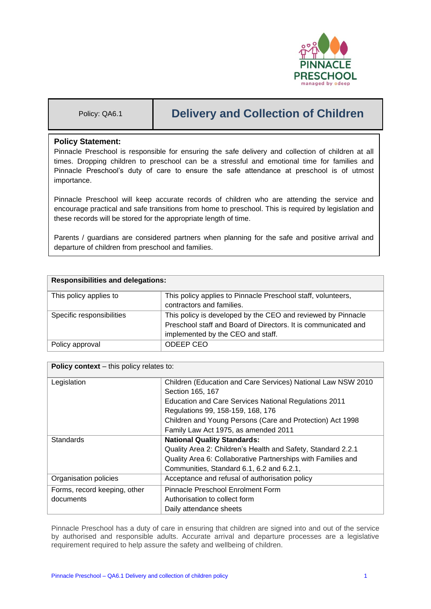

# Policy: QA6.1 **Delivery and Collection of Children**

## **Policy Statement:**

Pinnacle Preschool is responsible for ensuring the safe delivery and collection of children at all times. Dropping children to preschool can be a stressful and emotional time for families and Pinnacle Preschool's duty of care to ensure the safe attendance at preschool is of utmost importance.

Pinnacle Preschool will keep accurate records of children who are attending the service and encourage practical and safe transitions from home to preschool. This is required by legislation and these records will be stored for the appropriate length of time.

Parents / guardians are considered partners when planning for the safe and positive arrival and departure of children from preschool and families.

| <b>Responsibilities and delegations:</b> |                                                                                                                                                                     |  |
|------------------------------------------|---------------------------------------------------------------------------------------------------------------------------------------------------------------------|--|
| This policy applies to                   | This policy applies to Pinnacle Preschool staff, volunteers,<br>contractors and families.                                                                           |  |
| Specific responsibilities                | This policy is developed by the CEO and reviewed by Pinnacle<br>Preschool staff and Board of Directors. It is communicated and<br>implemented by the CEO and staff. |  |
| Policy approval                          | ODEEP CEO                                                                                                                                                           |  |

| <b>Policy context</b> – this policy relates to: |                                                              |  |  |
|-------------------------------------------------|--------------------------------------------------------------|--|--|
| Legislation                                     | Children (Education and Care Services) National Law NSW 2010 |  |  |
|                                                 | Section 165, 167                                             |  |  |
|                                                 | <b>Education and Care Services National Regulations 2011</b> |  |  |
|                                                 | Regulations 99, 158-159, 168, 176                            |  |  |
|                                                 | Children and Young Persons (Care and Protection) Act 1998    |  |  |
|                                                 | Family Law Act 1975, as amended 2011                         |  |  |
| <b>Standards</b>                                | <b>National Quality Standards:</b>                           |  |  |
|                                                 | Quality Area 2: Children's Health and Safety, Standard 2.2.1 |  |  |
|                                                 | Quality Area 6: Collaborative Partnerships with Families and |  |  |
|                                                 | Communities, Standard 6.1, 6.2 and 6.2.1,                    |  |  |
| Organisation policies                           | Acceptance and refusal of authorisation policy               |  |  |
| Forms, record keeping, other                    | Pinnacle Preschool Enrolment Form                            |  |  |
| documents                                       | Authorisation to collect form                                |  |  |
|                                                 | Daily attendance sheets                                      |  |  |

Pinnacle Preschool has a duty of care in ensuring that children are signed into and out of the service by authorised and responsible adults. Accurate arrival and departure processes are a legislative requirement required to help assure the safety and wellbeing of children.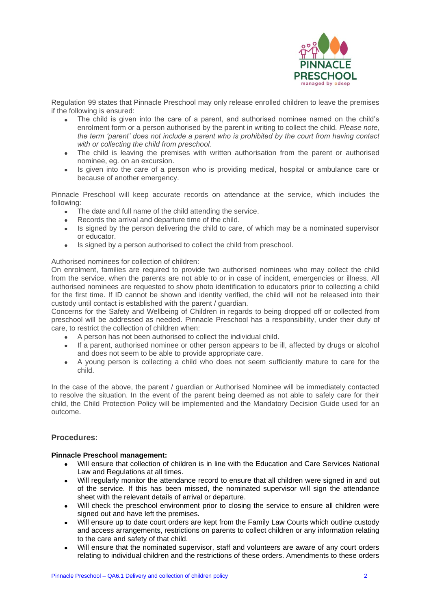

Regulation 99 states that Pinnacle Preschool may only release enrolled children to leave the premises if the following is ensured:

- The child is given into the care of a parent, and authorised nominee named on the child's enrolment form or a person authorised by the parent in writing to collect the child. *Please note, the term 'parent' does not include a parent who is prohibited by the court from having contact with or collecting the child from preschool.*
- The child is leaving the premises with written authorisation from the parent or authorised nominee, eg. on an excursion.
- Is given into the care of a person who is providing medical, hospital or ambulance care or because of another emergency.

Pinnacle Preschool will keep accurate records on attendance at the service, which includes the following:

- The date and full name of the child attending the service.
- Records the arrival and departure time of the child.
- Is signed by the person delivering the child to care, of which may be a nominated supervisor or educator.
- Is signed by a person authorised to collect the child from preschool.

#### Authorised nominees for collection of children:

On enrolment, families are required to provide two authorised nominees who may collect the child from the service, when the parents are not able to or in case of incident, emergencies or illness. All authorised nominees are requested to show photo identification to educators prior to collecting a child for the first time. If ID cannot be shown and identity verified, the child will not be released into their custody until contact is established with the parent / guardian.

Concerns for the Safety and Wellbeing of Children in regards to being dropped off or collected from preschool will be addressed as needed. Pinnacle Preschool has a responsibility, under their duty of care, to restrict the collection of children when:

- A person has not been authorised to collect the individual child.
- If a parent, authorised nominee or other person appears to be ill, affected by drugs or alcohol and does not seem to be able to provide appropriate care.
- A young person is collecting a child who does not seem sufficiently mature to care for the child.

In the case of the above, the parent / guardian or Authorised Nominee will be immediately contacted to resolve the situation. In the event of the parent being deemed as not able to safely care for their child, the Child Protection Policy will be implemented and the Mandatory Decision Guide used for an outcome.

## **Procedures:**

#### **Pinnacle Preschool management:**

- Will ensure that collection of children is in line with the Education and Care Services National Law and Regulations at all times.
- Will regularly monitor the attendance record to ensure that all children were signed in and out of the service. If this has been missed, the nominated supervisor will sign the attendance sheet with the relevant details of arrival or departure.
- Will check the preschool environment prior to closing the service to ensure all children were signed out and have left the premises.
- Will ensure up to date court orders are kept from the Family Law Courts which outline custody and access arrangements, restrictions on parents to collect children or any information relating to the care and safety of that child.
- Will ensure that the nominated supervisor, staff and volunteers are aware of any court orders relating to individual children and the restrictions of these orders. Amendments to these orders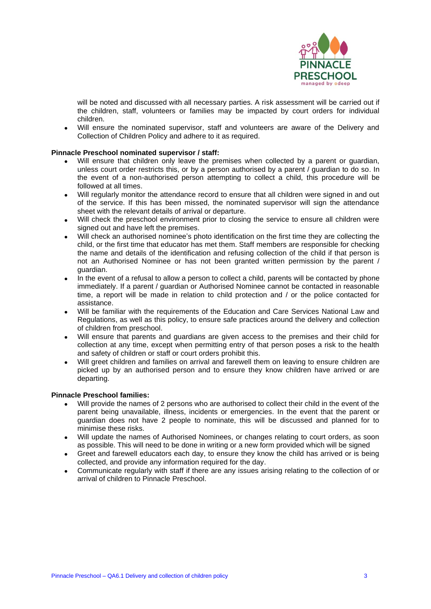

will be noted and discussed with all necessary parties. A risk assessment will be carried out if the children, staff, volunteers or families may be impacted by court orders for individual children.

• Will ensure the nominated supervisor, staff and volunteers are aware of the Delivery and Collection of Children Policy and adhere to it as required.

#### **Pinnacle Preschool nominated supervisor / staff:**

- Will ensure that children only leave the premises when collected by a parent or guardian, unless court order restricts this, or by a person authorised by a parent / guardian to do so. In the event of a non-authorised person attempting to collect a child, this procedure will be followed at all times.
- Will regularly monitor the attendance record to ensure that all children were signed in and out of the service. If this has been missed, the nominated supervisor will sign the attendance sheet with the relevant details of arrival or departure.
- Will check the preschool environment prior to closing the service to ensure all children were signed out and have left the premises.
- Will check an authorised nominee's photo identification on the first time they are collecting the child, or the first time that educator has met them. Staff members are responsible for checking the name and details of the identification and refusing collection of the child if that person is not an Authorised Nominee or has not been granted written permission by the parent / guardian.
- In the event of a refusal to allow a person to collect a child, parents will be contacted by phone immediately. If a parent / guardian or Authorised Nominee cannot be contacted in reasonable time, a report will be made in relation to child protection and / or the police contacted for assistance.
- Will be familiar with the requirements of the Education and Care Services National Law and Regulations, as well as this policy, to ensure safe practices around the delivery and collection of children from preschool.
- Will ensure that parents and guardians are given access to the premises and their child for collection at any time, except when permitting entry of that person poses a risk to the health and safety of children or staff or court orders prohibit this.
- Will greet children and families on arrival and farewell them on leaving to ensure children are picked up by an authorised person and to ensure they know children have arrived or are departing.

#### **Pinnacle Preschool families:**

- Will provide the names of 2 persons who are authorised to collect their child in the event of the parent being unavailable, illness, incidents or emergencies. In the event that the parent or guardian does not have 2 people to nominate, this will be discussed and planned for to minimise these risks.
- Will update the names of Authorised Nominees, or changes relating to court orders, as soon as possible. This will need to be done in writing or a new form provided which will be signed
- Greet and farewell educators each day, to ensure they know the child has arrived or is being collected, and provide any information required for the day.
- Communicate regularly with staff if there are any issues arising relating to the collection of or arrival of children to Pinnacle Preschool.